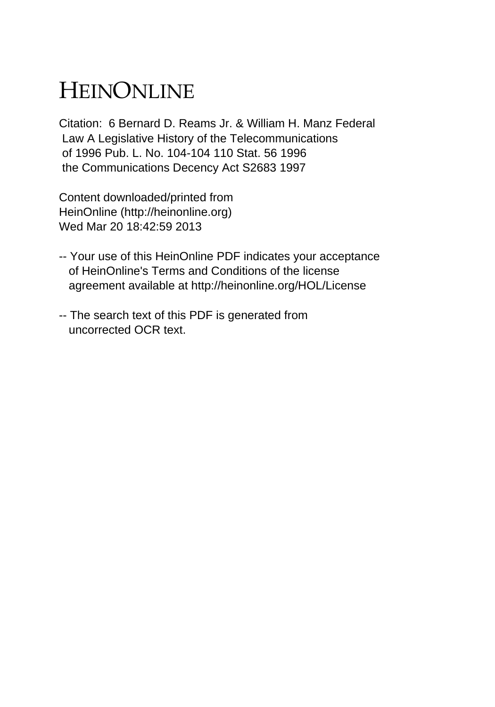# HEINONLINE

Citation: 6 Bernard D. Reams Jr. & William H. Manz Federal Law A Legislative History of the Telecommunications of 1996 Pub. L. No. 104-104 110 Stat. 56 1996 the Communications Decency Act S2683 1997

Content downloaded/printed from HeinOnline (http://heinonline.org) Wed Mar 20 18:42:59 2013

- -- Your use of this HeinOnline PDF indicates your acceptance of HeinOnline's Terms and Conditions of the license agreement available at http://heinonline.org/HOL/License
- -- The search text of this PDF is generated from uncorrected OCR text.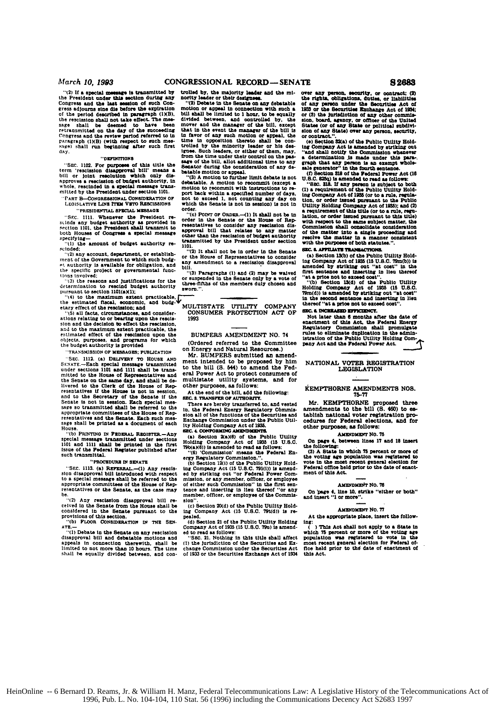March 10, 1993 CONGRESSIONAL RECORD-SENATE<br>
"(2) If a special message is transmitted by trolled by, the majority leader and the mi-<br>
the President under this section during any nority leader or their designees. "(2) If a special message is transmitted by trolled by, the majority leader and the mi-<br>the President under this section during any nority leader or their designess.<br>Congress and the last session of such Con- "(3) Debate i gress adjourns sine die before the expiration motion or appeal in connection with such a period described in paragraph (1XB), bill shall be limited to 1 hour, to be equally the rest is the rest is to the end the rest is th

cdnds **any** budget authority as provided **In** reas **te t** o **r** the Houma of•Rdp-**sect** ion **1101. the** President hanm to reoettives to consider any rescission dis.

**the specific project or governmental functions involved;** the specific project or governmental functions involved;

**"4** to the maximum extent practicable.1 **the** estimated fiscal. economic, **and** budg-V

ations relating to or bearing upon the rescis-<br>sion and the decision to effect the rescission.<br>and to the maximum extent practicable, the<br>saimated effect of the rescission upon the<br>clumeter of the rescission upon the contr

ender sections 100 and 1111 ahall be trans-<br>under sections 100 and 1111 ahall be trans-<br>the Section 100 and 1111 ahall be trans-<br>the Senato on the same day, and shall be de-<br>multistate utility systems, and for<br>the Senato o Senate is not in session. Each special mes-<br>
There are bereby transferred to, and vested<br>
save so transmitted that it be referred to the p. the Federal Energy Regulatory Commit-<br>
appropriate committees of the House of Representtives and the Senato. **Each** such msa- Exchange Commission under the Public Util- **sage** shall be printed as **a** document of each **Ity** Holding Company Act **of 11.**

**special -(b) PRINTIN** meenace **IN tra'amtted** <sup>r</sup>PsDted **RuOISTEr.-Any under** Sctions **Hll ()** Seotion o **pfyAto 2(a)6)** of the Public Utility **(5USC <sup>1101</sup>**andi mesg-1bopitdI **1** h is Holding Company Act **of** 1110 **il5 U.SC. II01 and** 1111 **shall** be **printed** in **the flrst 75b(aXG))** is **amended** to **read a** follows: special message transmitted ander sections<br>101 and 1111 shall be printed in the first<br>tissue of the Federal Register published after<br>such transmittal. "PROCEDURE IN SENATE

resolutives or the Senate, as the case may **resolution** of floer, or employee of the Commis-<br>
...(2) Any rescission disapproval bill re- sion".<br>
celved in the Senate from the House shall be <br>
considered in the Senate pursu considered in the Senate pursuant to the considered in the Senate pursuant to the provisions of this section, peaking and this section, peaking and the international company and the international company of this sexteme in

provisions of this section.<br>
"Contemporalistic provisions of this section.<br>
"Contemporalistic Company Act of 1935 (15 U.S.C. 79u) is amend-<br>
"(1) Debate in the Senate on any rescission of to read as follows:<br>
"(1) Debate Company Act of ISS. C. Thu) is amend-<br>
Company Act of ISS. (19 U.S.C. Thu) is amend-<br>
(19 Debate in the Senate on any rescission and<br>
(19 C. 21. Nothing in this title shall affect<br>
appears in connection therewith, thall be

Paragraph (1)(B) (with respect to such mes-<br>time in opposition thereto shall be con-<br>paragraph (1)(B) (with respect to such mes-<br>troited by the minority leader or his determines from the space such leaders, or either of th

"SEC. 1102. For purposes of this title the sage of the bill, allot additional time to any<br>term "rescission disapproval bill" means a Secarior during the consideration of any de-<br>bill or joint resolution which only dis-<br>"(

order.<br>"(c) POINT OF ORDER.-(1) It shall not be in<br>order in the Senate or the House of Rep-<br>resentatives to consider any rescues matter section 1101, the President shall transmit to research of the steader any rescission discusses of Congress a special message other than the rescission of budget authority specifying—<br>specifying—<br> $\frac{100 \text{ m}}{100 \text{ m}}$  and

scinded:<br>
"(2) It shall not be in order in the Senate<br>
"(2) It shall not be in order in the Senate<br>
ment of the Government to which such budg-<br>
reflection and any amendment to a rescission disapproval<br>
reflection is availa

the specific project or governmental func-<br>tions involved;<br> $^{(1)}$ (3) Paragraphs (1) and (2) may be waived<br> $^{(1)}$ (3) the reasons and justifications for the or suspended in the Senate only by a vote of<br>determination to resc

**MULTISTATE UTILITY COMPANY CONSUMER PROTECTION ACT OF** 1993

the budget authority is provided **"''**" (Ordered referred to the Committee)<br>"TRANSSION OP MESSAGES; PUBLICATION ON ENERGY and Natural Resources.)

"SEC. 1113. (a) REFERRAL.—(1) Any rescis- ing Company Act (15 U.S.C. 791(1)) is amend-<br>sion disapproval bill introduced with respect ed by striking out "or Pederal Power Com-<br>to a special message shall be referred to the expression in the first series of the House of Rep- of sither such Commission" in the first series<br>the contributions of the Gauss of Rep- of sither such Commission" in the first series<br>the case of Rep- of sither and insert

over any person, security, or contract: (2)<br>the rights, obligations, duties, or liabilities<br>of any person under the Securities Act of 1934;<br>1933 or the Securities Exphange Act of 1934;<br>1933 or the Securities Exphange Act

or contract....<br>(e) Bection 32(a) of the Public Utility Hold-<br>ing Company Act is amended by striking out<br>"and shall notify the Commission whenever

graph that any person is an exempt whole-<br>and generator" in the fourth enternoon.<br>(f) Section 318 of the Federal Power Act (16<br> $(10.8.0, 6260)$  is amended to read as follows:<br>"SEC. 318. If any person is ambiect to both<br>th lation. or order **Issued** pursuant to this **Utle)** with repeet to the @ams subject matter, the Commission **shall** consolidate consideration of the matter into **a** single **proceeding and** resolve the matter in **a** manner consistent with the purvose. **of** both statutes.".

### **SMC. & APPILIATE TRANSACTIONS**

(a) Section 13(b) of the Public Utility Holding Company Act of 1835 (15 U.S.C. 79m(b)) is amonded by striking out "At cost" in the first sentence and inserting in lieu thereof "the thereof "the the Public Utility" (b) Sec

SEC. & INCERASED EFFICIENCT.<br>Not have then 6 months after the date of<br>enactment of this Act, the Federal Energy<br>Regulatory Commission shall promulgate<br>ration of the relations and the same rules to eliminate depilted<br>ion in

# **NATIONAL** VOTER REGISTRATION **LEGISLATION**

# kEMPTHORNE **AMENDMENTS NOB. 75-77**

Mr. KEMPTHORNE proposed three amendments to the bill **(5.** 460) to **es**tablish national voter registration p cedures for Federal elections, and for other purposes; **as** follows:

### **AMENDMENT NO. 75**

On **page 4. between lines 17 and 18 insert<br>the following:<br>(3) A State in which 75 percent or more of** 

the voting age population was registered to<br>vote in the most recent general election for<br>Federal office held prior to the date of enact-<br>ment of this Act.

### AM1M111'r **NO. 75**

On **Page 4. line 10.** strike "either or both" **and** Insert **"I** or more".

## **AMENDMENT NO. 77**

At the **appropriate place,** insert the **follow-**

ing: **( ) This Act** shall not **apply** to **a State** in which **75** percent or more **of** the voting **age** population was registered to **vote** in the most recent **general** election for Federal **of-**floe **held** prior to the date of enactment of this Act.

**SLEX:NATE-EACHA SUMMERS SUPPLE SEXEL SPECILMSSISS - FURNATERS SUPPLE SEXATE-EACh special message transmitted to the bill (S. 644) to amend the Pedamitted to the Bouse of Representatives and eral Power Act to protect consu** 

"PROCEDURS **IN SENATE (b)** Sectlon 12(0) of the Public Utility Hold-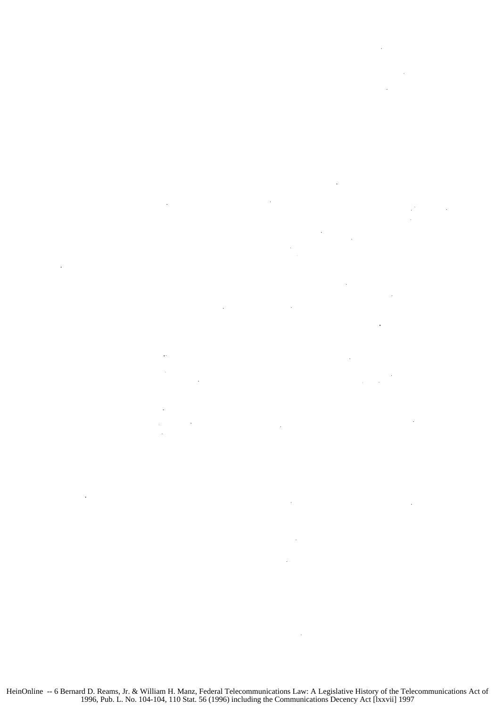$\bar{z}$  $\bar{\mathcal{A}}$  $\ddot{\phantom{a}}$  $\ddot{\phantom{1}}$  $\sim$   $\sim$ 

 $\hat{\boldsymbol{\beta}}$ 

 $\sim$   $\sim$ 

 $\bar{z}$ 

 $\bar{z}$ 

 $\mathcal{L}$ 

 $\bar{a}$ 

 $\overline{\phantom{a}}$ 

 $\bar{z}$ 

 $\mathcal{O}(\mathcal{O}(\log n))$  .

 $\overline{\phantom{a}}$  $\bar{z}$  $\sim$  $\bar{\mathcal{A}}$ 

 $\bar{z}$ 

 $\sim 1$ 

HeinOnline -- 6 Bernard D. Reams, Jr. & William H. Manz, Federal Telecommunications Law: A Legislative History of the Telecommunications Act of 1996, Pub. L. No. 104-104, 110 Stat. 56 (1996) including the Communications Decency Act [lxxvii] 1997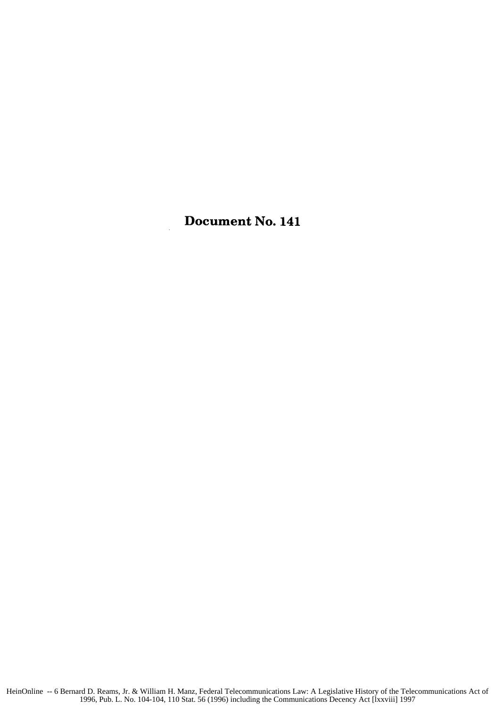# Document No. 141